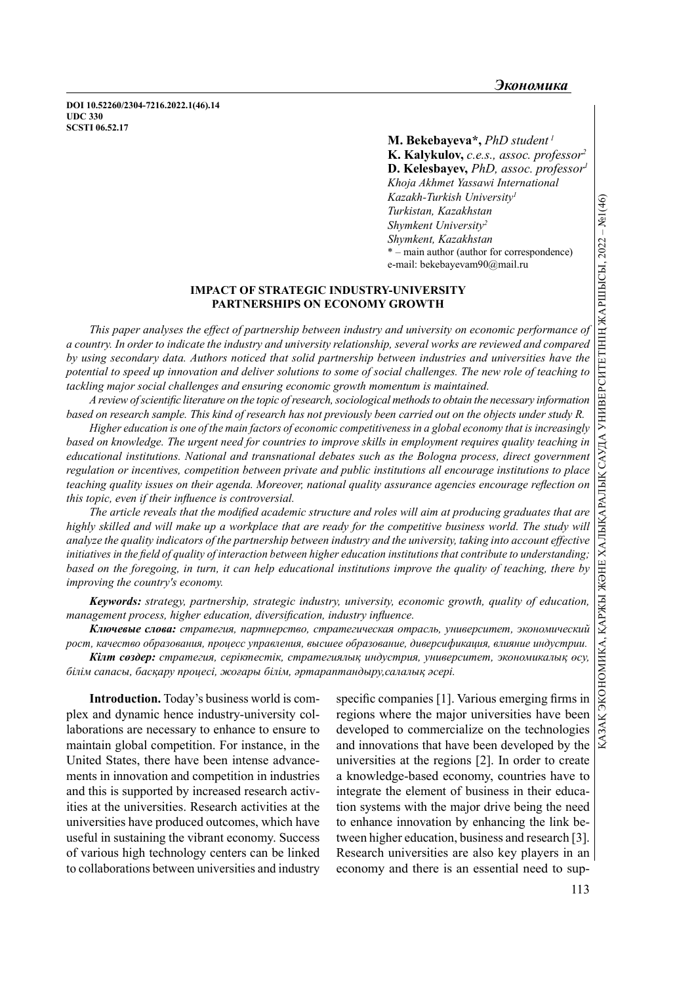DOI 10.52260/2304-7216.2022.1(46).14 UDC 330 SCSTI 06.52.17

> M. Bekebayeva\*,  $PhD$  student<sup>1</sup> K. Kalykulov, c.e.s., assoc. professor<sup>2</sup> D. Kelesbayev, PhD, assoc. professor<sup>1</sup> Khoja Akhmet Yassawi International Kazakh-Turkish University<sup>1</sup> Turkistan, Kazakhstan Shymkent University<sup>2</sup> Shymkent, Kazakhstan \* – main author (author for correspondence) е-mail: bekebayevam90@mail.ru

## IMPACT OF STRATEGIC INDUSTRY-UNIVERSITY PARTNERSHIPS ON ECONOMY GROWTH

This paper analyses the effect of partnership between industry and university on economic performance of a country. In order to indicate the industry and university relationship, several works are reviewed and compared by using secondary data. Authors noticed that solid partnership between industries and universities have the potential to speed up innovation and deliver solutions to some of social challenges. The new role of teaching to tackling major social challenges and ensuring economic growth momentum is maintained.

A review of scientific literature on the topic of research, sociological methods to obtain the necessary information based on research sample. This kind of research has not previously been carried out on the objects under study R.

based on knowledge. The urgent need for countries to improve skills in employment requires quality teaching in educational institutions. National and transnational debates such as the Bologna process, direct government regulation or incentives, competition between private and public institutions all encourage institutions to place teaching quality issues on their agenda. Moreover, national quality assurance agencies encourage reflection on this topic, even if their influence is controversial.

 $\label{eq:2} \begin{array}{ll} \textbf{K} & \textbf{K} & \textbf{K} & \textbf{K} & \textbf{K} & \textbf{K} & \textbf{K} & \textbf{K} & \textbf{K} & \textbf{K} & \textbf{K} \\ \textbf{M} & \textbf{M} & \textbf{M} & \textbf{M} & \textbf{M} & \textbf{M} & \textbf{M} \\ \textbf{M} & \textbf{M} & \textbf{M} & \textbf{M} & \textbf{M} & \textbf{M} \\ \textbf{M} & \textbf{M} & \textbf{M} & \textbf{M} & \textbf{M} & \textbf$ The article reveals that the modified academic structure and roles will aim at producing graduates that are highly skilled and will make up a workplace that are ready for the competitive business world. The study will analyze the quality indicators of the partnership between industry and the university, taking into account effective initiatives in the field of quality of interaction between higher education institutions that contribute to understanding; based on the foregoing, in turn, it can help educational institutions improve the quality of teaching, there by improving the country's economy.

Keywords: strategy, partnership, strategic industry, university, economic growth, quality of education, management process, higher education, diversification, industry influence.

Ключевые слова: стратегия, партнерство, стратегическая отрасль, университет, экономический рост, качество образования, процесс управления, высшее образование, диверсификация, влияние индустрии.

Кілт сөздер: стратегия, серіктестік, стратегиялық индустрия, университет, экономикалық өсу, білім сапасы, басқару процесі, жоғары білім, әртараптандыру,салалық әсері.

Introduction. Today's business world is complex and dynamic hence industry-university collaborations are necessary to enhance to ensure to maintain global competition. For instance, in the United States, there have been intense advancements in innovation and competition in industries and this is supported by increased research activities at the universities. Research activities at the universities have produced outcomes, which have useful in sustaining the vibrant economy. Success of various high technology centers can be linked to collaborations between universities and industry

specific companies [1]. Various emerging firms in regions where the major universities have been developed to commercialize on the technologies and innovations that have been developed by the universities at the regions [2]. In order to create a knowledge-based economy, countries have to integrate the element of business in their education systems with the major drive being the need to enhance innovation by enhancing the link between higher education, business and research [3]. Research universities are also key players in an economy and there is an essential need to sup-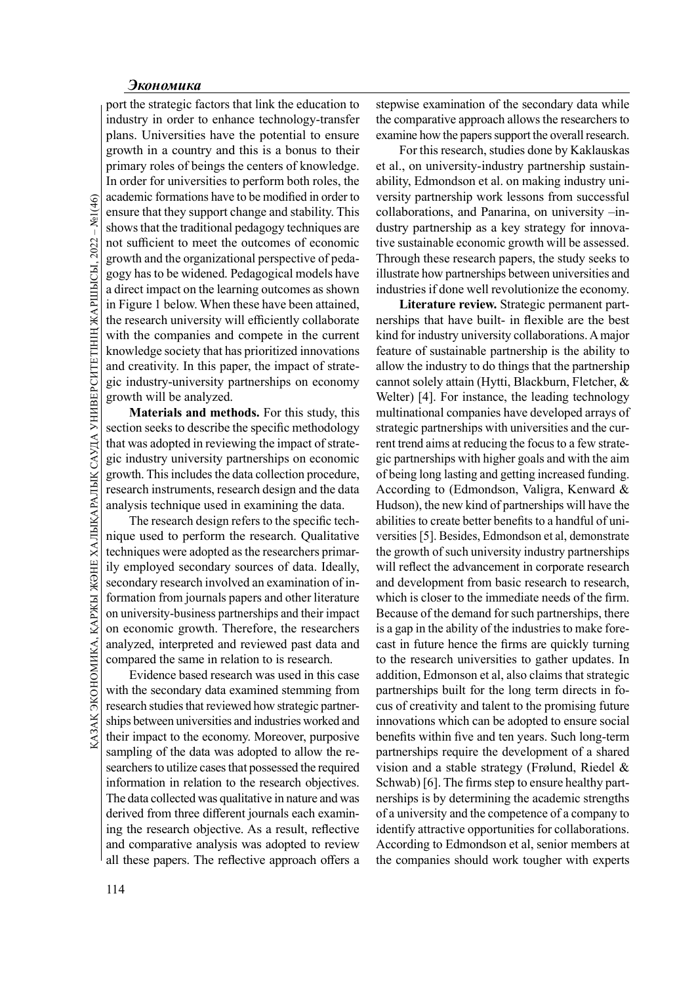General commations have a<br>seasure that they suppor<br>abows that the tradition<br>in to sufficient to meet t<br>growth and the organizz<br>gogy has to be widened<br>a direct impact on the le<br>in Figure 1 below. Where<br>the research univers port the strategic factors that link the education to industry in order to enhance technology-transfer plans. Universities have the potential to ensure growth in a country and this is a bonus to their primary roles of beings the centers of knowledge. In order for universities to perform both roles, the academic formations have to be modified in order to ensure that they support change and stability. This shows that the traditional pedagogy techniques are not sufficient to meet the outcomes of economic growth and the organizational perspective of pedagogy has to be widened. Pedagogical models have a direct impact on the learning outcomes as shown in Figure 1 below. When these have been attained, the research university will efficiently collaborate with the companies and compete in the current knowledge society that has prioritized innovations and creativity. In this paper, the impact of strategic industry-university partnerships on economy growth will be analyzed.

Materials and methods. For this study, this section seeks to describe the specific methodology that was adopted in reviewing the impact of strategic industry university partnerships on economic growth. This includes the data collection procedure, research instruments, research design and the data analysis technique used in examining the data.

Secondary research involved an examination of in-<br>
and develop-<br>
formation from journals papers and other literature<br>
on university-business partnerships and their impact<br>
on economic growth. Therefore, the researchers<br>
i The research design refers to the specific technique used to perform the research. Qualitative techniques were adopted as the researchers primarily employed secondary sources of data. Ideally, secondary research involved an examination of information from journals papers and other literature on university-business partnerships and their impact on economic growth. Therefore, the researchers analyzed, interpreted and reviewed past data and compared the same in relation to is research.

Evidence based research was used in this case with the secondary data examined stemming from research studies that reviewed how strategic partnerships between universities and industries worked and their impact to the economy. Moreover, purposive sampling of the data was adopted to allow the researchers to utilize cases that possessed the required information in relation to the research objectives. The data collected was qualitative in nature and was derived from three different journals each examining the research objective. As a result, reflective and comparative analysis was adopted to review all these papers. The reflective approach offers a

stepwise examination of the secondary data while the comparative approach allows the researchers to examine how the papers support the overall research.

For this research, studies done by Kaklauskas et al., on university-industry partnership sustainability, Edmondson et al. on making industry university partnership work lessons from successful collaborations, and Panarina, on university –industry partnership as a key strategy for innovative sustainable economic growth will be assessed. Through these research papers, the study seeks to illustrate how partnerships between universities and industries if done well revolutionize the economy.

Literature review. Strategic permanent partnerships that have built- in flexible are the best kind for industry university collaborations. A major feature of sustainable partnership is the ability to allow the industry to do things that the partnership cannot solely attain (Hytti, Blackburn, Fletcher, & Welter) [4]. For instance, the leading technology multinational companies have developed arrays of strategic partnerships with universities and the current trend aims at reducing the focus to a few strategic partnerships with higher goals and with the aim of being long lasting and getting increased funding. According to (Edmondson, Valigra, Kenward & Hudson), the new kind of partnerships will have the abilities to create better benefits to a handful of universities [5]. Besides, Edmondson et al, demonstrate the growth of such university industry partnerships will reflect the advancement in corporate research and development from basic research to research, which is closer to the immediate needs of the firm. Because of the demand for such partnerships, there is a gap in the ability of the industries to make forecast in future hence the firms are quickly turning to the research universities to gather updates. In addition, Edmonson et al, also claims that strategic partnerships built for the long term directs in focus of creativity and talent to the promising future innovations which can be adopted to ensure social benefits within five and ten years. Such long-term partnerships require the development of a shared vision and a stable strategy (Frølund, Riedel & Schwab) [6]. The firms step to ensure healthy partnerships is by determining the academic strengths of a university and the competence of a company to identify attractive opportunities for collaborations. According to Edmondson et al, senior members at the companies should work tougher with experts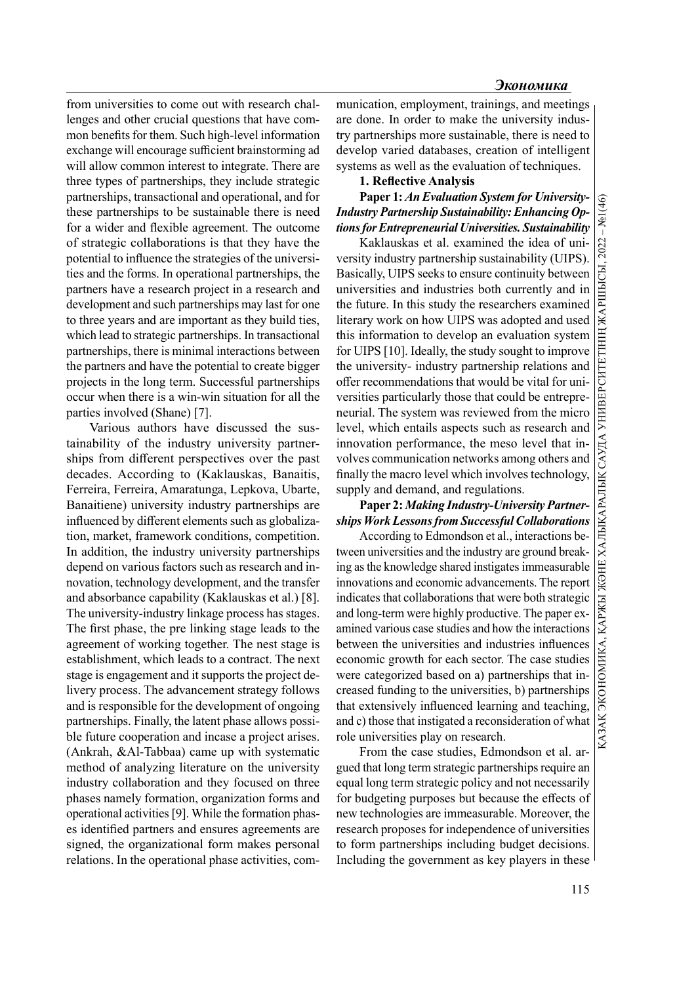from universities to come out with research challenges and other crucial questions that have common benefits for them. Such high-level information exchange will encourage sufficient brainstorming ad will allow common interest to integrate. There are three types of partnerships, they include strategic partnerships, transactional and operational, and for these partnerships to be sustainable there is need for a wider and flexible agreement. The outcome of strategic collaborations is that they have the potential to influence the strategies of the universities and the forms. In operational partnerships, the partners have a research project in a research and development and such partnerships may last for one to three years and are important as they build ties, which lead to strategic partnerships. In transactional partnerships, there is minimal interactions between the partners and have the potential to create bigger projects in the long term. Successful partnerships occur when there is a win-win situation for all the parties involved (Shane) [7].

Various authors have discussed the sustainability of the industry university partnerships from different perspectives over the past decades. According to (Kaklauskas, Banaitis, Ferreira, Ferreira, Amaratunga, Lepkova, Ubarte, Banaitiene) university industry partnerships are influenced by different elements such as globalization, market, framework conditions, competition. In addition, the industry university partnerships depend on various factors such as research and innovation, technology development, and the transfer and absorbance capability (Kaklauskas et al.) [8]. The university-industry linkage process has stages. The first phase, the pre linking stage leads to the agreement of working together. The nest stage is establishment, which leads to a contract. The next stage is engagement and it supports the project delivery process. The advancement strategy follows and is responsible for the development of ongoing partnerships. Finally, the latent phase allows possible future cooperation and incase a project arises. (Ankrah, &Al-Tabbaa) came up with systematic method of analyzing literature on the university industry collaboration and they focused on three phases namely formation, organization forms and operational activities [9]. While the formation phases identified partners and ensures agreements are signed, the organizational form makes personal relations. In the operational phase activities, communication, employment, trainings, and meetings are done. In order to make the university industry partnerships more sustainable, there is need to develop varied databases, creation of intelligent systems as well as the evaluation of techniques.

# 1. Reflective Analysis

Paper 1: An Evaluation System for University-Industry Partnership Sustainability: Enhancing Op-Paper 1: An Evaluation System for University-<br>Industry Partnership Sustainability: Enhancing Op-<br> $\frac{1}{2}$ <br>tions for Entrepreneurial Universities. Sustainability

Kaklauskas et al. examined the idea of university industry partnership sustainability (UIPS). Kaklauskas et al. examined the idea of university industry partically, UIPS seeks to ensure continuity between universities and industries both currently band in the future. In this study the researchers examined literary universities and industries both currently and in the future. In this study the researchers examined literary work on how UIPS was adopted and used this information to develop an evaluation system for UIPS [10]. Ideally, the study sought to improve the university- industry partnership relations and offer recommendations that would be vital for universities particularly those that could be entrepreneurial. The system was reviewed from the micro level, which entails aspects such as research and innovation performance, the meso level that involves communication networks among others and finally the macro level which involves technology, supply and demand, and regulations.

# Paper 2: Making Industry-University Partnerships Work Lessons from Successful Collaborations

According to Edmondson et al., interactions between universities and the industry are ground breaking as the knowledge shared instigates immeasurable innovations and economic advancements. The report indicates that collaborations that were both strategic and long-term were highly productive. The paper examined various case studies and how the interactions between the universities and industries influences economic growth for each sector. The case studies were categorized based on a) partnerships that increased funding to the universities, b) partnerships that extensively influenced learning and teaching, and c) those that instigated a reconsideration of what role universities play on research.

From the case studies, Edmondson et al. argued that long term strategic partnerships require an equal long term strategic policy and not necessarily for budgeting purposes but because the effects of new technologies are immeasurable. Moreover, the research proposes for independence of universities to form partnerships including budget decisions. Including the government as key players in these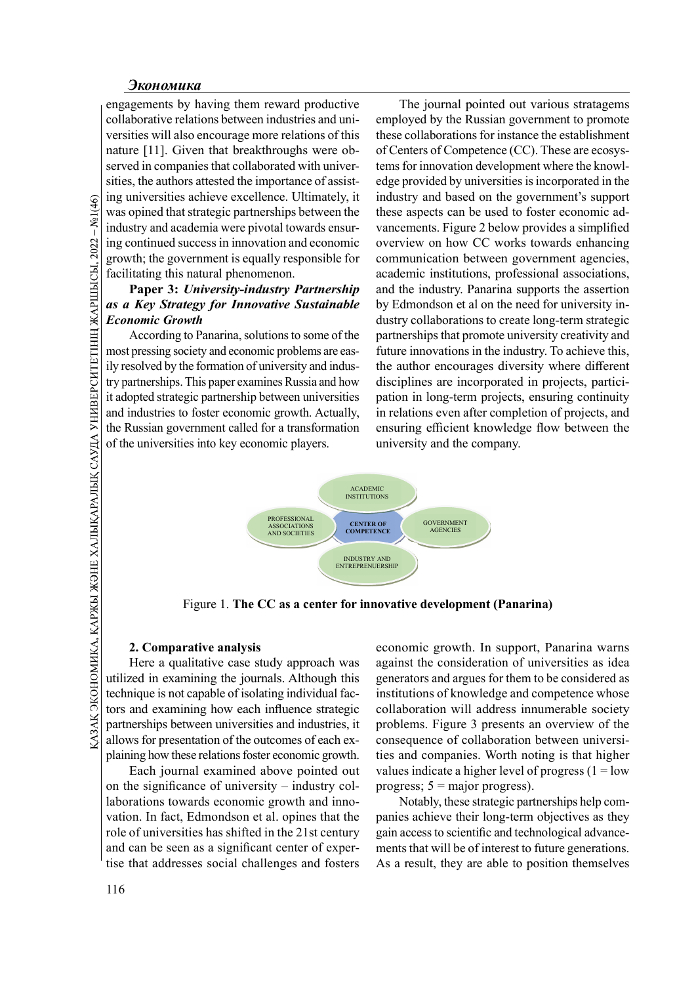engagements by having them reward productive collaborative relations between industries and universities will also encourage more relations of this nature [11]. Given that breakthroughs were observed in companies that collaborated with universities, the authors attested the importance of assisting universities achieve excellence. Ultimately, it was opined that strategic partnerships between the industry and academia were pivotal towards ensuring continued success in innovation and economic growth; the government is equally responsible for facilitating this natural phenomenon.

# Paper 3: University-industry Partnership as a Key Strategy for Innovative Sustainable Economic Growth

According to Panarina, solutions to some of the most pressing society and economic problems are easily resolved by the formation of university and industry partnerships. This paper examines Russia and how it adopted strategic partnership between universities and industries to foster economic growth. Actually, the Russian government called for a transformation of the universities into key economic players.

The journal pointed out various stratagems employed by the Russian government to promote these collaborations for instance the establishment of Centers of Competence (CC). These are ecosystems for innovation development where the knowledge provided by universities is incorporated in the industry and based on the government's support these aspects can be used to foster economic advancements. Figure 2 below provides a simplified overview on how CC works towards enhancing communication between government agencies, academic institutions, professional associations, and the industry. Panarina supports the assertion by Edmondson et al on the need for university industry collaborations to create long-term strategic partnerships that promote university creativity and future innovations in the industry. To achieve this, the author encourages diversity where different disciplines are incorporated in projects, participation in long-term projects, ensuring continuity in relations even after completion of projects, and ensuring efficient knowledge flow between the university and the company.



Figure 1. The CC as a center for innovative development (Panarina)

### 2. Comparative analysis

Here a qualitative case study approach was utilized in examining the journals. Although this technique is not capable of isolating individual factors and examining how each influence strategic partnerships between universities and industries, it allows for presentation of the outcomes of each explaining how these relations foster economic growth.

Each journal examined above pointed out on the significance of university – industry collaborations towards economic growth and innovation. In fact, Edmondson et al. opines that the role of universities has shifted in the 21st century and can be seen as a significant center of expertise that addresses social challenges and fosters

economic growth. In support, Panarina warns against the consideration of universities as idea generators and argues for them to be considered as institutions of knowledge and competence whose collaboration will address innumerable society problems. Figure 3 presents an overview of the consequence of collaboration between universities and companies. Worth noting is that higher values indicate a higher level of progress  $(1 = low$ progress;  $5 = \text{major progress}$ ).

Notably, these strategic partnerships help companies achieve their long-term objectives as they gain access to scientific and technological advancements that will be of interest to future generations. As a result, they are able to position themselves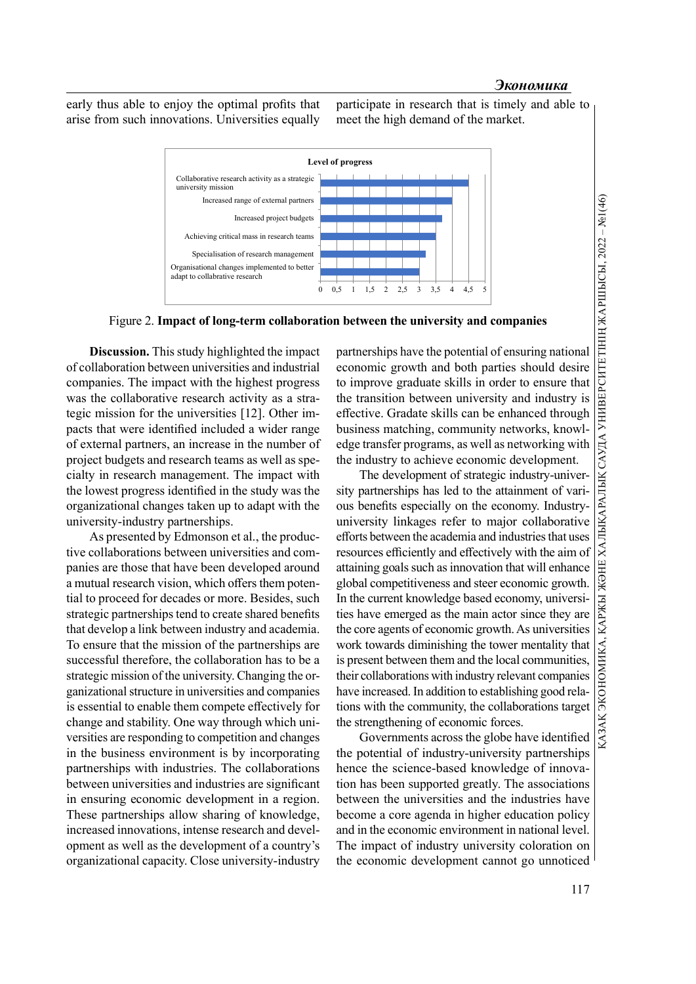early thus able to enjoy the optimal profits that arise from such innovations. Universities equally

participate in research that is timely and able to meet the high demand of the market.



Figure 2. Impact of long-term collaboration between the university and companies

Discussion. This study highlighted the impact of collaboration between universities and industrial companies. The impact with the highest progress was the collaborative research activity as a strategic mission for the universities [12]. Other impacts that were identified included a wider range of external partners, an increase in the number of project budgets and research teams as well as specialty in research management. The impact with the lowest progress identified in the study was the organizational changes taken up to adapt with the university-industry partnerships.

As presented by Edmonson et al., the productive collaborations between universities and companies are those that have been developed around a mutual research vision, which offers them potential to proceed for decades or more. Besides, such strategic partnerships tend to create shared benefits that develop a link between industry and academia. To ensure that the mission of the partnerships are successful therefore, the collaboration has to be a strategic mission of the university. Changing the organizational structure in universities and companies is essential to enable them compete effectively for change and stability. One way through which universities are responding to competition and changes in the business environment is by incorporating partnerships with industries. The collaborations between universities and industries are significant in ensuring economic development in a region. These partnerships allow sharing of knowledge, increased innovations, intense research and development as well as the development of a country's organizational capacity. Close university-industry economic growth and both parties should desire to improve graduate skills in order to ensure that the transition between university and industry is effective. Gradate skills can be enhanced through business matching, community networks, knowledge transfer programs, as well as networking with the industry to achieve economic development.

**Partnerships have the potential of ensuring the potential of ensuring partnerships have the potential of ensuring national economic growth and both parties should desire to improve graduate skills in order to ensure that** The development of strategic industry-university partnerships has led to the attainment of various benefits especially on the economy. Industryuniversity linkages refer to major collaborative efforts between the academia and industries that uses resources efficiently and effectively with the aim of attaining goals such as innovation that will enhance global competitiveness and steer economic growth. In the current knowledge based economy, universities have emerged as the main actor since they are the core agents of economic growth. As universities work towards diminishing the tower mentality that is present between them and the local communities, their collaborations with industry relevant companies have increased. In addition to establishing good relations with the community, the collaborations target the strengthening of economic forces.

Governments across the globe have identified the potential of industry-university partnerships hence the science-based knowledge of innovation has been supported greatly. The associations between the universities and the industries have become a core agenda in higher education policy and in the economic environment in national level. The impact of industry university coloration on the economic development cannot go unnoticed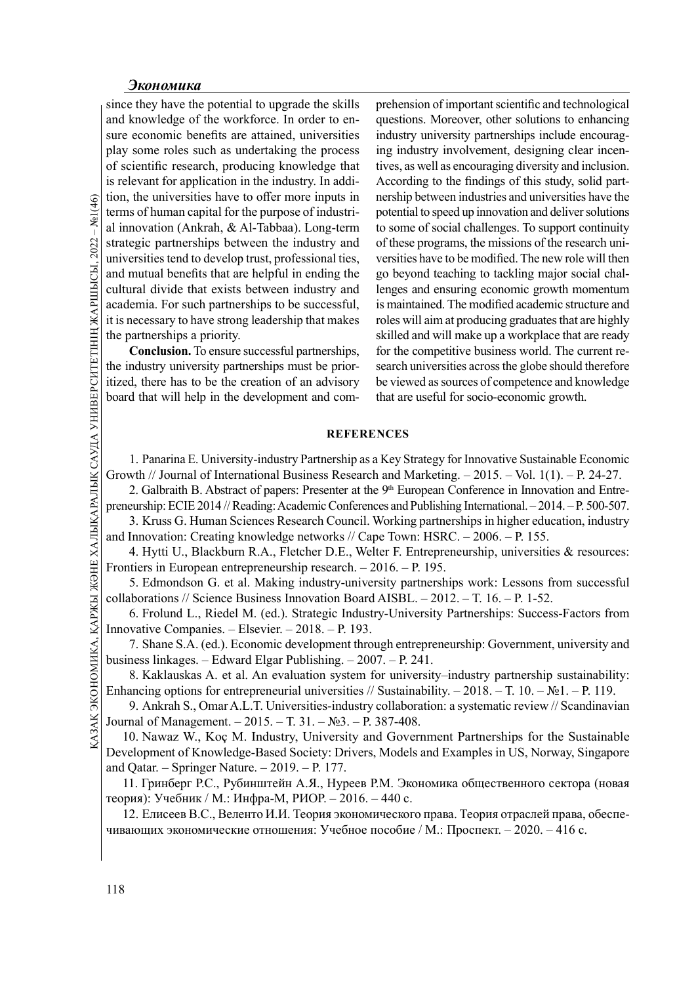<u>G</u> tion, the universities has<br>
terms of human capital<br>
al innovation (Ankrah,<br>
strategic partnerships<br>
universities tend to deve<br>
and mutual benefits that<br>
cultural divide that ex<br>
academia. For such part<br>
it is necessa since they have the potential to upgrade the skills and knowledge of the workforce. In order to ensure economic benefits are attained, universities play some roles such as undertaking the process of scientific research, producing knowledge that is relevant for application in the industry. In addition, the universities have to offer more inputs in terms of human capital for the purpose of industrial innovation (Ankrah, & Al-Tabbaa). Long-term strategic partnerships between the industry and universities tend to develop trust, professional ties, and mutual benefits that are helpful in ending the cultural divide that exists between industry and academia. For such partnerships to be successful, it is necessary to have strong leadership that makes the partnerships a priority.

Conclusion. To ensure successful partnerships, the industry university partnerships must be prioritized, there has to be the creation of an advisory board that will help in the development and comprehension of important scientific and technological questions. Moreover, other solutions to enhancing industry university partnerships include encouraging industry involvement, designing clear incentives, as well as encouraging diversity and inclusion. According to the findings of this study, solid partnership between industries and universities have the potential to speed up innovation and deliver solutions to some of social challenges. To support continuity of these programs, the missions of the research universities have to be modified. The new role will then go beyond teaching to tackling major social challenges and ensuring economic growth momentum is maintained. The modified academic structure and roles will aim at producing graduates that are highly skilled and will make up a workplace that are ready for the competitive business world. The current research universities across the globe should therefore be viewed as sources of competence and knowledge that are useful for socio-economic growth.

### **REFERENCES**

1. Panarina E. University-industry Partnership as a Key Strategy for Innovative Sustainable Economic Growth // Journal of International Business Research and Marketing. – 2015. – Vol. 1(1). – P. 24-27. 2. Galbraith B. Abstract of papers: Presenter at the 9<sup>th</sup> European Conference in Innovation and Entre-

preneurship: ECIE 2014 // Reading: Academic Conferences and Publishing International. – 2014. – P. 500-507.

3. Kruss G. Human Sciences Research Council. Working partnerships in higher education, industry and Innovation: Creating knowledge networks // Cape Town: HSRC. – 2006. – P. 155.

4. Hytti U., Blackburn R.A., Fletcher D.E., Welter F. Entrepreneurship, universities & resources: Frontiers in European entrepreneurship research. – 2016. – P. 195.

5. Edmondson G. et al. Making industry-university partnerships work: Lessons from successful collaborations // Science Business Innovation Board AISBL. – 2012. – Т. 16. – P. 1-52.

6. Frolund L., Riedel M. (ed.). Strategic Industry-University Partnerships: Success-Factors from Innovative Companies. – Elsevier. – 2018. – P. 193.

7. Shane S.A. (ed.). Economic development through entrepreneurship: Government, university and business linkages. – Edward Elgar Publishing. – 2007. – P. 241.

8. Kaklauskas A. et al. An evaluation system for university–industry partnership sustainability: Enhancing options for entrepreneurial universities // Sustainability.  $-2018$ . – T. 10. – №1. – P. 119.

3. Edinomisson G. et al. Making maustry-university partners<br>
collaborations // Science Business Innovation Board AISBL. – 20<br>
6. Frolund L., Riedel M. (ed.). Strategic Industry-University<br>
Imovative Companies. – Elsevier. 9. Ankrah S., Omar A.L.T. Universities-industry collaboration: a systematic review // Scandinavian Journal of Management. – 2015. – Т. 31. – №3. – P. 387-408.

10. Nawaz W., Koç M. Industry, University and Government Partnerships for the Sustainable Development of Knowledge-Based Society: Drivers, Models and Examples in US, Norway, Singapore and Qatar. – Springer Nature. – 2019. – P. 177.

11. Гринберг Р.С., Рубинштейн А.Я., Нуреев Р.М. Экономика общественного сектора (новая теория): Учебник / М.: Инфра-М, РИОР. – 2016. – 440 с.

12. Елисеев В.С., Веленто И.И. Теория экономического права. Теория отраслей права, обеспечивающих экономические отношения: Учебное пособие / М.: Проспект. – 2020. – 416 с.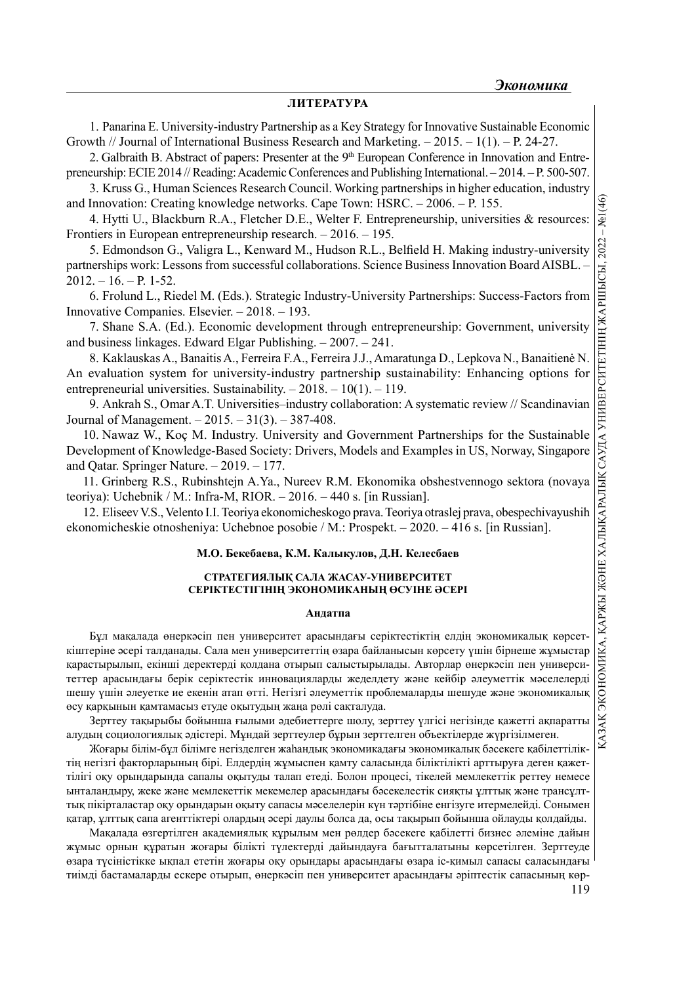#### ЛИТЕРАТУРА

1. Panarina E. University-industry Partnership as a Key Strategy for Innovative Sustainable Economic Growth // Journal of International Business Research and Marketing. – 2015. – 1(1). – P. 24-27.

2. Galbraith B. Abstract of papers: Presenter at the  $9<sup>th</sup>$  European Conference in Innovation and Entrepreneurship: ECIE 2014 // Reading: Academic Conferences and Publishing International. – 2014. – P. 500-507.

3. Kruss G., Human Sciences Research Council. Working partnerships in higher education, industry and Innovation: Creating knowledge networks. Cape Town: HSRC. – 2006. – P. 155.

4. Hytti U., Blackburn R.A., Fletcher D.E., Welter F. Entrepreneurship, universities & resources: Frontiers in European entrepreneurship research. – 2016. – 195.

5. Edmondson G., Valigra L., Kenward M., Hudson R.L., Belfield H. Making industry-university  $2012. - 16. - P. 1-52.$ 

6. Frolund L., Riedel M. (Eds.). Strategic Industry-University Partnerships: Success-Factors from Innovative Companies. Elsevier. – 2018. – 193.

7. Shane S.A. (Ed.). Economic development through entrepreneurship: Government, university and business linkages. Edward Elgar Publishing. – 2007. – 241.

8. Kaklauskas A., Banaitis A., Ferreira F.A., Ferreira J.J., Amaratunga D., Lepkova N., Banaitienė N. An evaluation system for university-industry partnership sustainability: Enhancing options for entrepreneurial universities. Sustainability. – 2018. – 10(1). – 119.

9. Ankrah S., Omar A.T. Universities–industry collaboration: A systematic review // Scandinavian Journal of Management. – 2015. – 31(3). – 387-408.

10. Nawaz W., Koç M. Industry. University and Government Partnerships for the Sustainable Development of Knowledge-Based Society: Drivers, Models and Examples in US, Norway, Singapore and Qatar. Springer Nature. – 2019. – 177.

11. Grinberg R.S., Rubinshtejn A.Ya., Nureev R.M. Ekonomika obshestvennogo sektora (novaya teoriya): Uchebnik / M.: Infra-M, RIOR. – 2016. – 440 s. [in Russian].

12. Eliseev V.S., Velento I.I. Teoriya ekonomicheskogo prava. Teoriya otraslej prava, obespechivayushih ekonomicheskie otnosheniya: Uchebnoe posobie / M.: Prospekt. – 2020. – 416 s. [in Russian].

#### М.О. Бекебаева, К.М. Калыкулов, Д.Н. Келесбаев

#### СТРАТЕГИЯЛЫҚ САЛА ЖАСАУ-УНИВЕРСИТЕТ СЕРІКТЕСТІГІНІН ЭКОНОМИКАНЫН ӨСУІНЕ ӘСЕРІ

#### Андатпа

From Excelsion Contents in the state of the state in the state of the state of the state of the state of the state of the Collaborations. Science Business Innovation Board AISBL. – 10. – P. 1-52.<br>
0. From the U.S. Reviser Бұл мақалада өнеркәсіп пен университет арасындағы серіктестіктің елдің экономикалық көрсеткіштеріне әсері талданады. Сала мен университеттің өзара байланысын көрсету үшін бірнеше жұмыстар қарастырылып, екінші деректерді қолдана отырып салыстырылады. Авторлар өнеркәсіп пен университеттер арасындағы берік серіктестік инновацияларды жеделдету және кейбір әлеуметтік мәселелерді шешу үшін әлеуетке ие екенін атап өтті. Негізгі әлеуметтік проблемаларды шешуде және экономикалық өсу қарқынын қамтамасыз етуде оқытудың жаңа рөлі сақталуда.

Зерттеу тақырыбы бойынша ғылыми әдебиеттерге шолу, зерттеу үлгісі негізінде қажетті ақпаратты алудың социологиялық әдістері. Мұндай зерттеулер бұрын зерттелген объектілерде жүргізілмеген.

Жоғары білім-бұл білімге негізделген жаһандық экономикадағы экономикалық бәсекеге қабілеттіліктің негізгі факторларының бірі. Елдердің жұмыспен қамту саласында біліктілікті арттыруға деген қажеттілігі оқу орындарында сапалы оқытуды талап етеді. Болон процесі, тікелей мемлекеттік реттеу немесе ынталандыру, жеке және мемлекеттік мекемелер арасындағы бәсекелестік сияқты ұлттық және трансұлттық пікірталастар оқу орындарын оқыту сапасы мәселелерін күн тәртібіне енгізуге итермелейді. Сонымен қатар, ұлттық сапа агенттіктері олардың әсері даулы болса да, осы тақырып бойынша ойлауды қолдайды.

Мақалада өзгертілген академиялық құрылым мен рөлдер бәсекеге қабілетті бизнес әлеміне дайын жұмыс орнын құратын жоғары білікті түлектерді дайындауға бағытталатыны көрсетілген. Зерттеуде өзара түсіністікке ықпал ететін жоғары оқу орындары арасындағы өзара іс-қимыл сапасы саласындағы тиімді бастамаларды ескере отырып, өнеркәсіп пен университет арасындағы әріптестік сапасының көр-

119